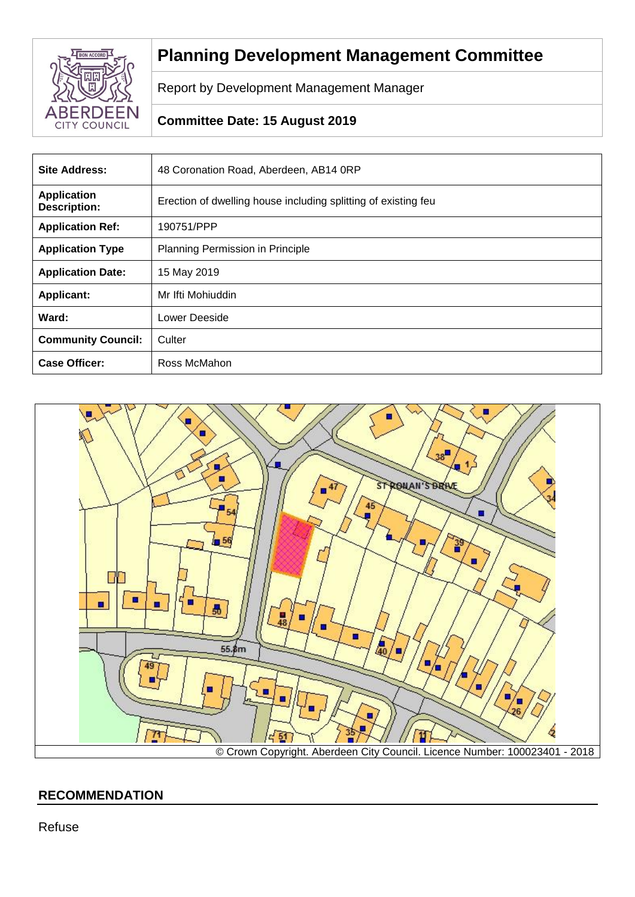

# **Planning Development Management Committee**

Report by Development Management Manager

# **Committee Date: 15 August 2019**

| <b>Site Address:</b>                      | 48 Coronation Road, Aberdeen, AB14 0RP                         |
|-------------------------------------------|----------------------------------------------------------------|
| <b>Application</b><br><b>Description:</b> | Erection of dwelling house including splitting of existing feu |
| <b>Application Ref:</b>                   | 190751/PPP                                                     |
| <b>Application Type</b>                   | Planning Permission in Principle                               |
| <b>Application Date:</b>                  | 15 May 2019                                                    |
| <b>Applicant:</b>                         | Mr Ifti Mohiuddin                                              |
| Ward:                                     | Lower Deeside                                                  |
| <b>Community Council:</b>                 | Culter                                                         |
| <b>Case Officer:</b>                      | Ross McMahon                                                   |



# **RECOMMENDATION**

Refuse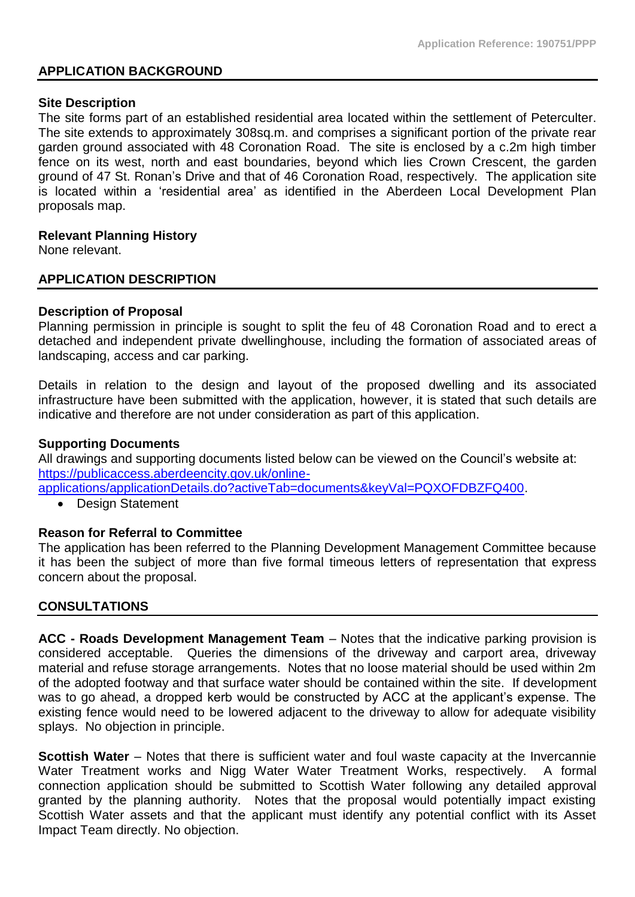# **APPLICATION BACKGROUND**

#### **Site Description**

The site forms part of an established residential area located within the settlement of Peterculter. The site extends to approximately 308sq.m. and comprises a significant portion of the private rear garden ground associated with 48 Coronation Road. The site is enclosed by a c.2m high timber fence on its west, north and east boundaries, beyond which lies Crown Crescent, the garden ground of 47 St. Ronan's Drive and that of 46 Coronation Road, respectively. The application site is located within a 'residential area' as identified in the Aberdeen Local Development Plan proposals map.

# **Relevant Planning History**

None relevant.

# **APPLICATION DESCRIPTION**

# **Description of Proposal**

Planning permission in principle is sought to split the feu of 48 Coronation Road and to erect a detached and independent private dwellinghouse, including the formation of associated areas of landscaping, access and car parking.

Details in relation to the design and layout of the proposed dwelling and its associated infrastructure have been submitted with the application, however, it is stated that such details are indicative and therefore are not under consideration as part of this application.

# **Supporting Documents**

All drawings and supporting documents listed below can be viewed on the Council's website at: [https://publicaccess.aberdeencity.gov.uk/online-](https://publicaccess.aberdeencity.gov.uk/online-applications/applicationDetails.do?activeTab=documents&keyVal=PQXOFDBZFQ400)

[applications/applicationDetails.do?activeTab=documents&keyVal=PQXOFDBZFQ400.](https://publicaccess.aberdeencity.gov.uk/online-applications/applicationDetails.do?activeTab=documents&keyVal=PQXOFDBZFQ400)

• Design Statement

# **Reason for Referral to Committee**

The application has been referred to the Planning Development Management Committee because it has been the subject of more than five formal timeous letters of representation that express concern about the proposal.

# **CONSULTATIONS**

**ACC - Roads Development Management Team** – Notes that the indicative parking provision is considered acceptable. Queries the dimensions of the driveway and carport area, driveway material and refuse storage arrangements. Notes that no loose material should be used within 2m of the adopted footway and that surface water should be contained within the site. If development was to go ahead, a dropped kerb would be constructed by ACC at the applicant's expense. The existing fence would need to be lowered adjacent to the driveway to allow for adequate visibility splays. No objection in principle.

**Scottish Water** – Notes that there is sufficient water and foul waste capacity at the Invercannie Water Treatment works and Nigg Water Water Treatment Works, respectively. A formal connection application should be submitted to Scottish Water following any detailed approval granted by the planning authority. Notes that the proposal would potentially impact existing Scottish Water assets and that the applicant must identify any potential conflict with its Asset Impact Team directly. No objection.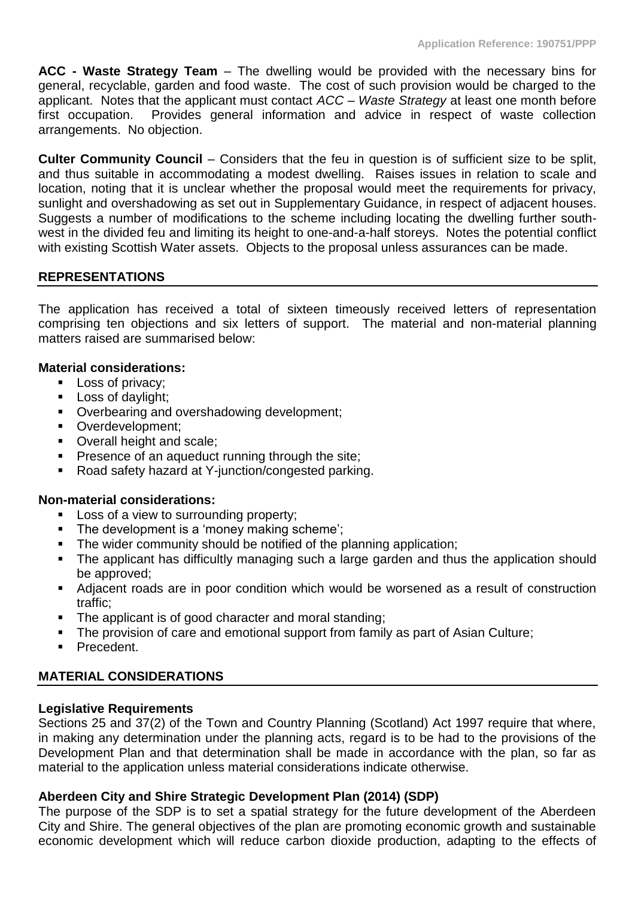**ACC - Waste Strategy Team** – The dwelling would be provided with the necessary bins for general, recyclable, garden and food waste. The cost of such provision would be charged to the applicant. Notes that the applicant must contact *ACC – Waste Strategy* at least one month before first occupation. Provides general information and advice in respect of waste collection arrangements. No objection.

**Culter Community Council** – Considers that the feu in question is of sufficient size to be split, and thus suitable in accommodating a modest dwelling. Raises issues in relation to scale and location, noting that it is unclear whether the proposal would meet the requirements for privacy, sunlight and overshadowing as set out in Supplementary Guidance, in respect of adjacent houses. Suggests a number of modifications to the scheme including locating the dwelling further southwest in the divided feu and limiting its height to one-and-a-half storeys. Notes the potential conflict with existing Scottish Water assets. Objects to the proposal unless assurances can be made.

# **REPRESENTATIONS**

The application has received a total of sixteen timeously received letters of representation comprising ten objections and six letters of support. The material and non-material planning matters raised are summarised below:

# **Material considerations:**

- **•** Loss of privacy:
- **EXEC** Loss of daylight;
- Overbearing and overshadowing development;
- Overdevelopment:
- Overall height and scale;
- **•** Presence of an aqueduct running through the site;
- Road safety hazard at Y-junction/congested parking.

#### **Non-material considerations:**

- Loss of a view to surrounding property;
- **•** The development is a 'money making scheme';
- The wider community should be notified of the planning application;
- The applicant has difficultly managing such a large garden and thus the application should be approved;
- Adjacent roads are in poor condition which would be worsened as a result of construction traffic;
- The applicant is of good character and moral standing;
- The provision of care and emotional support from family as part of Asian Culture;
- Precedent.

# **MATERIAL CONSIDERATIONS**

#### **Legislative Requirements**

Sections 25 and 37(2) of the Town and Country Planning (Scotland) Act 1997 require that where, in making any determination under the planning acts, regard is to be had to the provisions of the Development Plan and that determination shall be made in accordance with the plan, so far as material to the application unless material considerations indicate otherwise.

# **Aberdeen City and Shire Strategic Development Plan (2014) (SDP)**

The purpose of the SDP is to set a spatial strategy for the future development of the Aberdeen City and Shire. The general objectives of the plan are promoting economic growth and sustainable economic development which will reduce carbon dioxide production, adapting to the effects of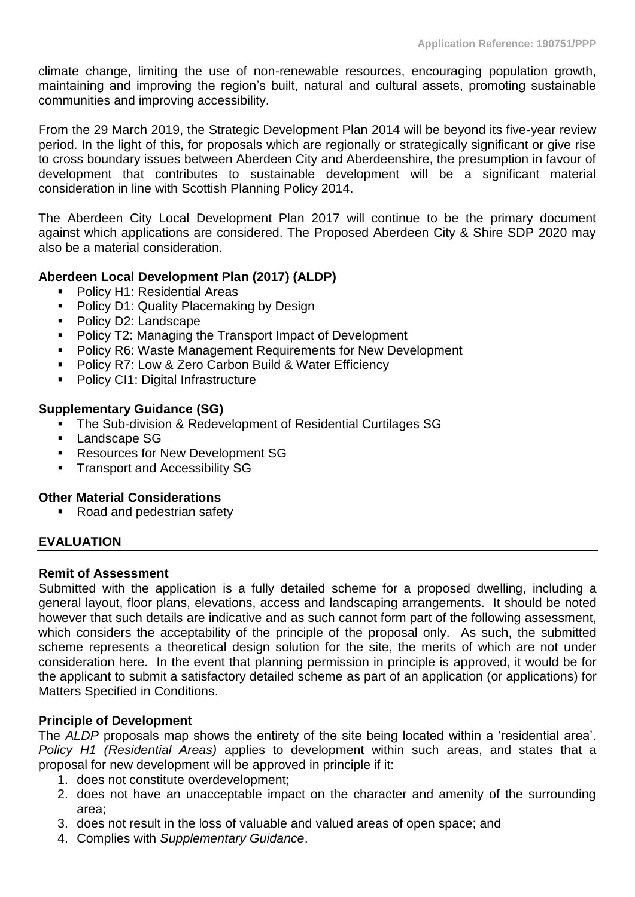climate change, limiting the use of non-renewable resources, encouraging population growth, maintaining and improving the region's built, natural and cultural assets, promoting sustainable communities and improving accessibility.

From the 29 March 2019, the Strategic Development Plan 2014 will be beyond its five-year review period. In the light of this, for proposals which are regionally or strategically significant or give rise to cross boundary issues between Aberdeen City and Aberdeenshire, the presumption in favour of development that contributes to sustainable development will be a significant material consideration in line with Scottish Planning Policy 2014.

The Aberdeen City Local Development Plan 2017 will continue to be the primary document against which applications are considered. The Proposed Aberdeen City & Shire SDP 2020 may also be a material consideration.

# **Aberdeen Local Development Plan (2017) (ALDP)**

- Policy H1: Residential Areas
- Policy D1: Quality Placemaking by Design
- Policy D2: Landscape
- Policy T2: Managing the Transport Impact of Development
- Policy R6: Waste Management Requirements for New Development
- Policy R7: Low & Zero Carbon Build & Water Efficiency
- Policy CI1: Digital Infrastructure

# **Supplementary Guidance (SG)**

- The Sub-division & Redevelopment of Residential Curtilages SG
- Landscape SG
- Resources for New Development SG
- **EXEC** Transport and Accessibility SG

# **Other Material Considerations**

■ Road and pedestrian safety

# **EVALUATION**

#### **Remit of Assessment**

Submitted with the application is a fully detailed scheme for a proposed dwelling, including a general layout, floor plans, elevations, access and landscaping arrangements. It should be noted however that such details are indicative and as such cannot form part of the following assessment, which considers the acceptability of the principle of the proposal only. As such, the submitted scheme represents a theoretical design solution for the site, the merits of which are not under consideration here. In the event that planning permission in principle is approved, it would be for the applicant to submit a satisfactory detailed scheme as part of an application (or applications) for Matters Specified in Conditions.

# **Principle of Development**

The *ALDP* proposals map shows the entirety of the site being located within a 'residential area'. *Policy H1 (Residential Areas)* applies to development within such areas, and states that a proposal for new development will be approved in principle if it:

- 1. does not constitute overdevelopment;
- 2. does not have an unacceptable impact on the character and amenity of the surrounding area;
- 3. does not result in the loss of valuable and valued areas of open space; and
- 4. Complies with *Supplementary Guidance*.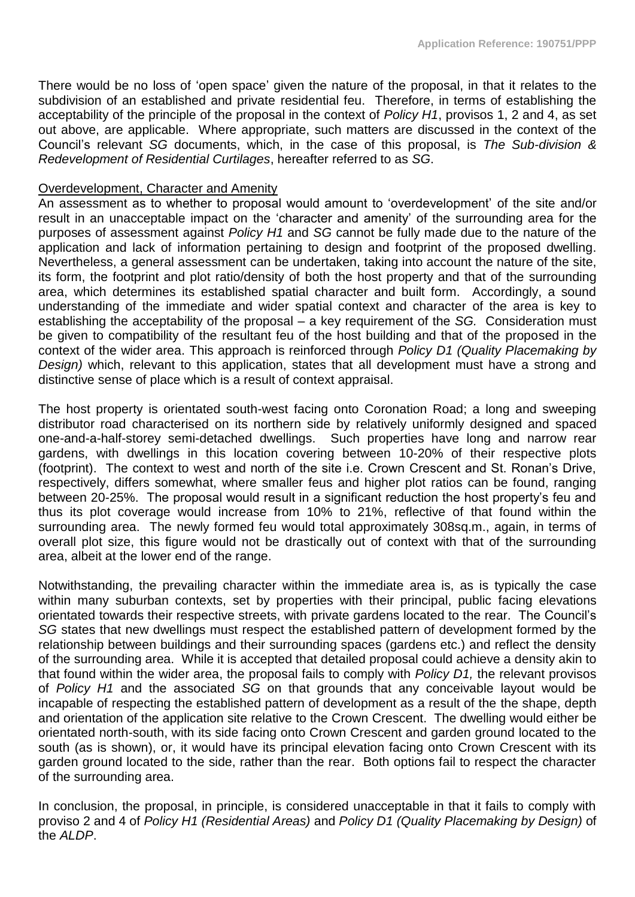There would be no loss of 'open space' given the nature of the proposal, in that it relates to the subdivision of an established and private residential feu. Therefore, in terms of establishing the acceptability of the principle of the proposal in the context of *Policy H1*, provisos 1, 2 and 4, as set out above, are applicable. Where appropriate, such matters are discussed in the context of the Council's relevant *SG* documents, which, in the case of this proposal, is *The Sub-division & Redevelopment of Residential Curtilages*, hereafter referred to as *SG*.

#### Overdevelopment, Character and Amenity

An assessment as to whether to proposal would amount to 'overdevelopment' of the site and/or result in an unacceptable impact on the 'character and amenity' of the surrounding area for the purposes of assessment against *Policy H1* and *SG* cannot be fully made due to the nature of the application and lack of information pertaining to design and footprint of the proposed dwelling. Nevertheless, a general assessment can be undertaken, taking into account the nature of the site, its form, the footprint and plot ratio/density of both the host property and that of the surrounding area, which determines its established spatial character and built form. Accordingly, a sound understanding of the immediate and wider spatial context and character of the area is key to establishing the acceptability of the proposal – a key requirement of the *SG.* Consideration must be given to compatibility of the resultant feu of the host building and that of the proposed in the context of the wider area. This approach is reinforced through *Policy D1 (Quality Placemaking by Design)* which, relevant to this application, states that all development must have a strong and distinctive sense of place which is a result of context appraisal.

The host property is orientated south-west facing onto Coronation Road; a long and sweeping distributor road characterised on its northern side by relatively uniformly designed and spaced one-and-a-half-storey semi-detached dwellings. Such properties have long and narrow rear gardens, with dwellings in this location covering between 10-20% of their respective plots (footprint). The context to west and north of the site i.e. Crown Crescent and St. Ronan's Drive, respectively, differs somewhat, where smaller feus and higher plot ratios can be found, ranging between 20-25%. The proposal would result in a significant reduction the host property's feu and thus its plot coverage would increase from 10% to 21%, reflective of that found within the surrounding area. The newly formed feu would total approximately 308sq.m., again, in terms of overall plot size, this figure would not be drastically out of context with that of the surrounding area, albeit at the lower end of the range.

Notwithstanding, the prevailing character within the immediate area is, as is typically the case within many suburban contexts, set by properties with their principal, public facing elevations orientated towards their respective streets, with private gardens located to the rear. The Council's *SG* states that new dwellings must respect the established pattern of development formed by the relationship between buildings and their surrounding spaces (gardens etc.) and reflect the density of the surrounding area. While it is accepted that detailed proposal could achieve a density akin to that found within the wider area, the proposal fails to comply with *Policy D1,* the relevant provisos of *Policy H1* and the associated *SG* on that grounds that any conceivable layout would be incapable of respecting the established pattern of development as a result of the the shape, depth and orientation of the application site relative to the Crown Crescent. The dwelling would either be orientated north-south, with its side facing onto Crown Crescent and garden ground located to the south (as is shown), or, it would have its principal elevation facing onto Crown Crescent with its garden ground located to the side, rather than the rear. Both options fail to respect the character of the surrounding area.

In conclusion, the proposal, in principle, is considered unacceptable in that it fails to comply with proviso 2 and 4 of *Policy H1 (Residential Areas)* and *Policy D1 (Quality Placemaking by Design)* of the *ALDP*.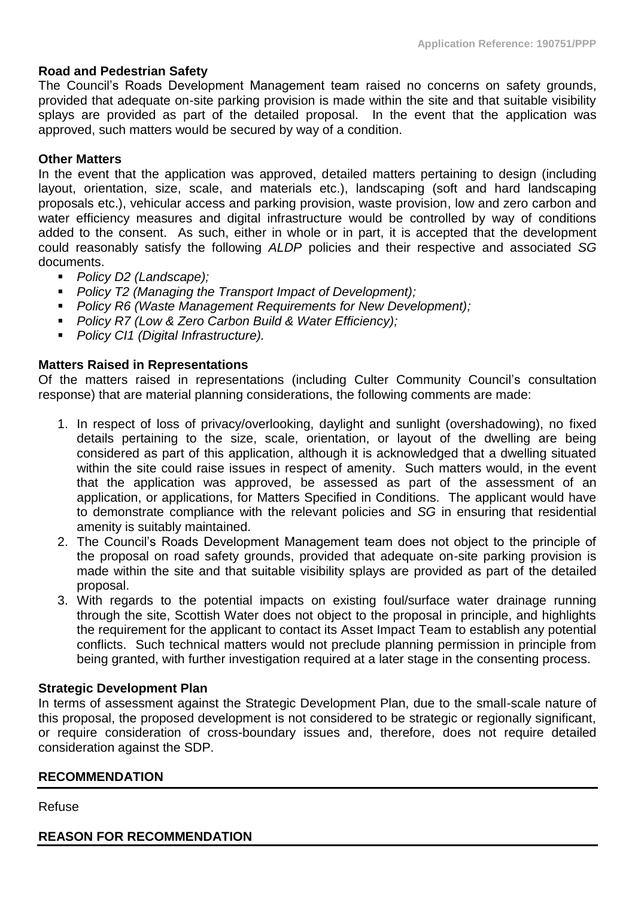# **Road and Pedestrian Safety**

The Council's Roads Development Management team raised no concerns on safety grounds, provided that adequate on-site parking provision is made within the site and that suitable visibility splays are provided as part of the detailed proposal. In the event that the application was approved, such matters would be secured by way of a condition.

#### **Other Matters**

In the event that the application was approved, detailed matters pertaining to design (including layout, orientation, size, scale, and materials etc.), landscaping (soft and hard landscaping proposals etc.), vehicular access and parking provision, waste provision, low and zero carbon and water efficiency measures and digital infrastructure would be controlled by way of conditions added to the consent. As such, either in whole or in part, it is accepted that the development could reasonably satisfy the following *ALDP* policies and their respective and associated *SG*  documents.

- *Policy D2 (Landscape)*;
- *Policy T2 (Managing the Transport Impact of Development);*
- *Policy R6 (Waste Management Requirements for New Development);*
- *Policy R7 (Low & Zero Carbon Build & Water Efficiency)*;
- *Policy CI1 (Digital Infrastructure).*

# **Matters Raised in Representations**

Of the matters raised in representations (including Culter Community Council's consultation response) that are material planning considerations, the following comments are made:

- 1. In respect of loss of privacy/overlooking, daylight and sunlight (overshadowing), no fixed details pertaining to the size, scale, orientation, or layout of the dwelling are being considered as part of this application, although it is acknowledged that a dwelling situated within the site could raise issues in respect of amenity. Such matters would, in the event that the application was approved, be assessed as part of the assessment of an application, or applications, for Matters Specified in Conditions. The applicant would have to demonstrate compliance with the relevant policies and *SG* in ensuring that residential amenity is suitably maintained.
- 2. The Council's Roads Development Management team does not object to the principle of the proposal on road safety grounds, provided that adequate on-site parking provision is made within the site and that suitable visibility splays are provided as part of the detailed proposal.
- 3. With regards to the potential impacts on existing foul/surface water drainage running through the site, Scottish Water does not object to the proposal in principle, and highlights the requirement for the applicant to contact its Asset Impact Team to establish any potential conflicts. Such technical matters would not preclude planning permission in principle from being granted, with further investigation required at a later stage in the consenting process.

#### **Strategic Development Plan**

In terms of assessment against the Strategic Development Plan, due to the small-scale nature of this proposal, the proposed development is not considered to be strategic or regionally significant, or require consideration of cross-boundary issues and, therefore, does not require detailed consideration against the SDP.

#### **RECOMMENDATION**

Refuse

**REASON FOR RECOMMENDATION**